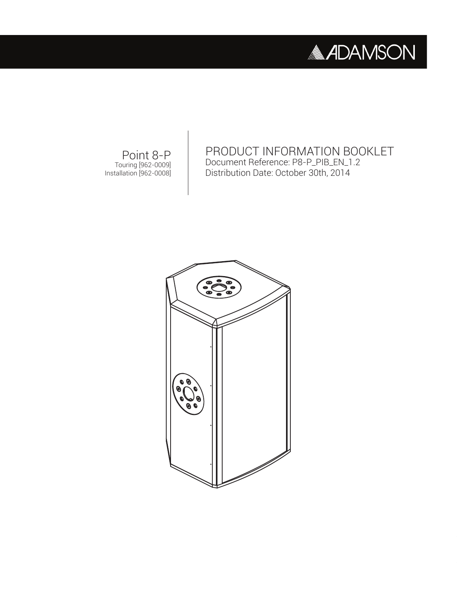

PRODUCT INFORMATION BOOKLET Document Reference: P8-P\_PIB\_EN\_1.2 Distribution Date: October 30th, 2014

Point 8-P Touring [962-0009] Installation [962-0008]

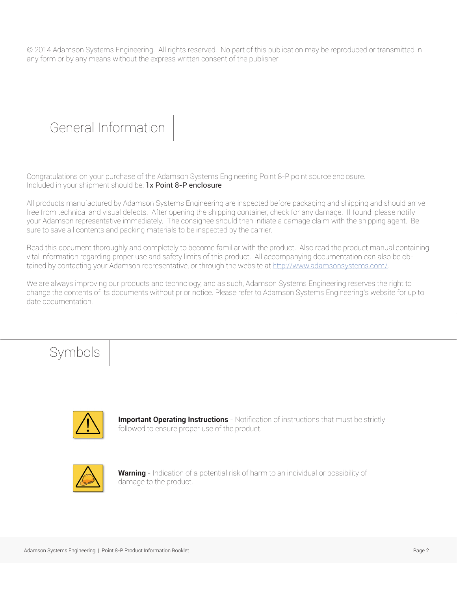© 2014 Adamson Systems Engineering. All rights reserved. No part of this publication may be reproduced or transmitted in any form or by any means without the express written consent of the publisher

#### General Information

Congratulations on your purchase of the Adamson Systems Engineering Point 8-P point source enclosure. Included in your shipment should be: 1x Point 8-P enclosure

All products manufactured by Adamson Systems Engineering are inspected before packaging and shipping and should arrive free from technical and visual defects. After opening the shipping container, check for any damage. If found, please notify your Adamson representative immediately. The consignee should then initiate a damage claim with the shipping agent. Be sure to save all contents and packing materials to be inspected by the carrier.

Read this document thoroughly and completely to become familiar with the product. Also read the product manual containing vital information regarding proper use and safety limits of this product. All accompanying documentation can also be obtained by contacting your Adamson representative, or through the website at http://www.adamsonsystems.com/.

We are always improving our products and technology, and as such, Adamson Systems Engineering reserves the right to change the contents of its documents without prior notice. Please refer to Adamson Systems Engineering's website for up to date documentation.

### Symbols



**Important Operating Instructions** - Notification of instructions that must be strictly followed to ensure proper use of the product.



**Warning** - Indication of a potential risk of harm to an individual or possibility of damage to the product.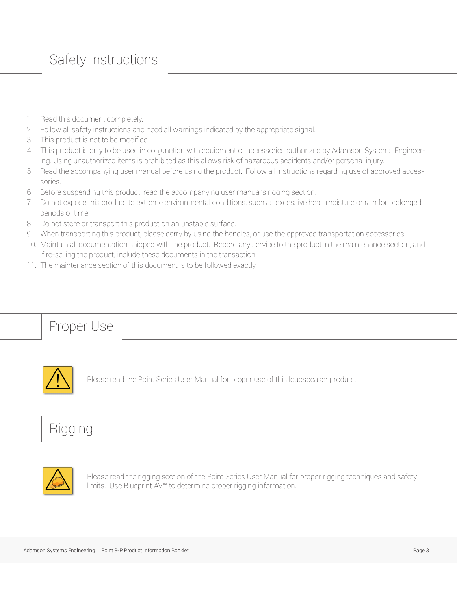### Safety Instructions

- 1. Read this document completely.
- 2. Follow all safety instructions and heed all warnings indicated by the appropriate signal.
- 3. This product is not to be modified.
- 4. This product is only to be used in conjunction with equipment or accessories authorized by Adamson Systems Engineering. Using unauthorized items is prohibited as this allows risk of hazardous accidents and/or personal injury.
- 5. Read the accompanying user manual before using the product. Follow all instructions regarding use of approved accessories.
- 6. Before suspending this product, read the accompanying user manual's rigging section.
- 7. Do not expose this product to extreme environmental conditions, such as excessive heat, moisture or rain for prolonged periods of time.
- 8. Do not store or transport this product on an unstable surface.
- 9. When transporting this product, please carry by using the handles, or use the approved transportation accessories.
- 10. Maintain all documentation shipped with the product. Record any service to the product in the maintenance section, and if re-selling the product, include these documents in the transaction.
- 11. The maintenance section of this document is to be followed exactly.

Proper Use



Please read the Point Series User Manual for proper use of this loudspeaker product.

## **Rigging**



Please read the rigging section of the Point Series User Manual for proper rigging techniques and safety limits. Use Blueprint AV™ to determine proper rigging information.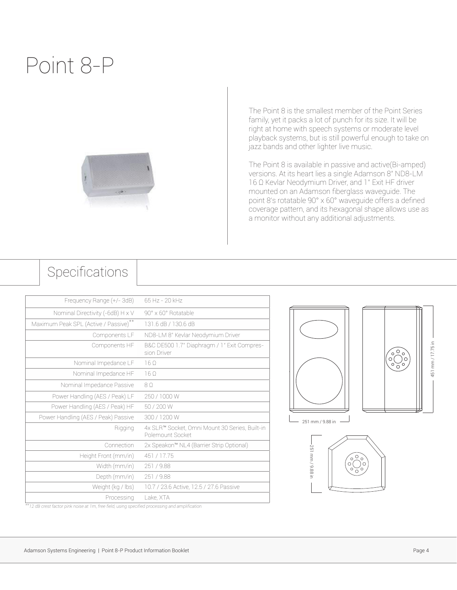# Point 8-P



The Point 8 is the smallest member of the Point Series family, yet it packs a lot of punch for its size. It will be right at home with speech systems or moderate level playback systems, but is still powerful enough to take on jazz bands and other lighter live music.

The Point 8 is available in passive and active(Bi-amped) versions. At its heart lies a single Adamson 8" ND8-LM 16 Ω Kevlar Neodymium Driver, and 1" Exit HF driver mounted on an Adamson fiberglass waveguide. The point 8's rotatable 90° x 60° waveguide offers a defined coverage pattern, and its hexagonal shape allows use as a monitor without any additional adjustments.

#### Specifications

| 65 Hz - 20 kHz                                                     |
|--------------------------------------------------------------------|
| 90° x 60° Rotatable                                                |
| 131.6 dB / 130.6 dB                                                |
| ND8-LM 8" Kevlar Neodymium Driver                                  |
| B&C DE500 1.7" Diaphragm / 1" Exit Compres-<br>sion Driver         |
| 160                                                                |
| 160                                                                |
| 80                                                                 |
| 250 / 1000 W                                                       |
| 50 / 200 W                                                         |
| 300 / 1200 W                                                       |
| 4x SLR™ Socket, Omni Mount 30 Series, Built-in<br>Polemount Socket |
| 2x Speakon™ NL4 (Barrier Strip Optional)                           |
| 451 / 17.75                                                        |
| 251/9.88                                                           |
| 251/9.88                                                           |
| 10.7 / 23.6 Active, 12.5 / 27.6 Passive                            |
| Lake, XTA                                                          |
|                                                                    |





*\*\*12 dB crest factor pink noise at 1m, free field, using specified processing and amplification*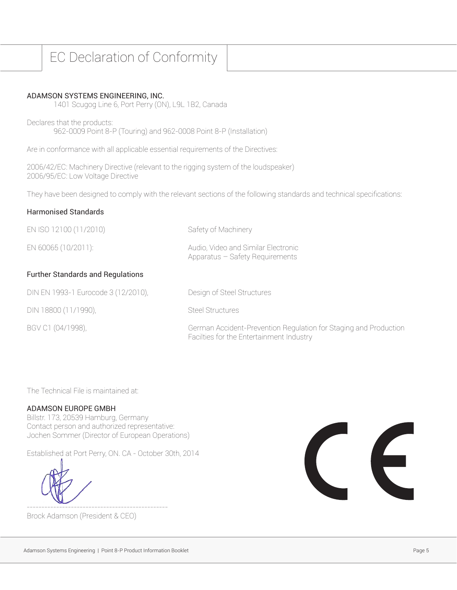### EC Declaration of Conformity

#### ADAMSON SYSTEMS ENGINEERING, INC.

1401 Scugog Line 6, Port Perry (ON), L9L 1B2, Canada

Declares that the products: 962-0009 Point 8-P (Touring) and 962-0008 Point 8-P (Installation)

Are in conformance with all applicable essential requirements of the Directives:

2006/42/EC: Machinery Directive (relevant to the rigging system of the loudspeaker) 2006/95/EC: Low Voltage Directive

They have been designed to comply with the relevant sections of the following standards and technical specifications:

#### Harmonised Standards

| EN ISO 12100 (11/2010)                   | Safety of Machinery                                                                                          |
|------------------------------------------|--------------------------------------------------------------------------------------------------------------|
| EN 60065 (10/2011):                      | Audio, Video and Similar Electronic<br>Apparatus - Safety Requirements                                       |
| <b>Further Standards and Regulations</b> |                                                                                                              |
| DIN EN 1993-1 Eurocode 3 (12/2010),      | Design of Steel Structures                                                                                   |
| DIN 18800 (11/1990),                     | <b>Steel Structures</b>                                                                                      |
| BGV C1 (04/1998),                        | German Accident-Prevention Regulation for Staging and Production<br>Facilties for the Entertainment Industry |

The Technical File is maintained at:

#### ADAMSON EUROPE GMBH

Billstr. 173, 20539 Hamburg, Germany Contact person and authorized representative: Jochen Sommer (Director of European Operations)

Established at Port Perry, ON. CA - October 30th, 2014

Brock Adamson (President & CEO)

------------------------------------------------

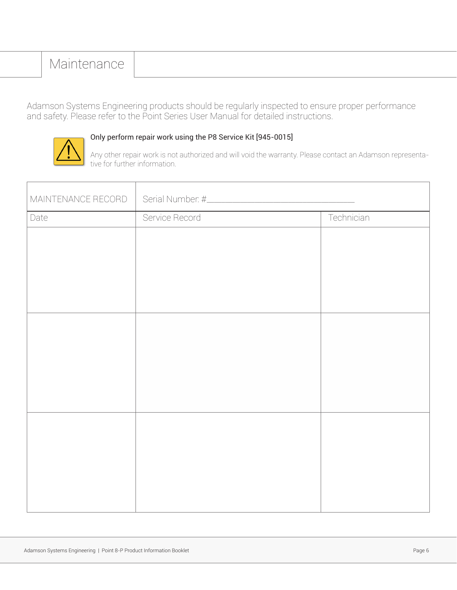### Maintenance

Adamson Systems Engineering products should be regularly inspected to ensure proper performance and safety. Please refer to the Point Series User Manual for detailed instructions.



#### Only perform repair work using the P8 Service Kit [945-0015]

Any other repair work is not authorized and will void the warranty. Please contact an Adamson representative for further information.

| MAINTENANCE RECORD |                |            |  |
|--------------------|----------------|------------|--|
| Date               | Service Record | Technician |  |
|                    |                |            |  |
|                    |                |            |  |
|                    |                |            |  |
|                    |                |            |  |
|                    |                |            |  |
|                    |                |            |  |
|                    |                |            |  |
|                    |                |            |  |
|                    |                |            |  |
|                    |                |            |  |
|                    |                |            |  |
|                    |                |            |  |
|                    |                |            |  |
|                    |                |            |  |
|                    |                |            |  |
|                    |                |            |  |
|                    |                |            |  |
|                    |                |            |  |
|                    |                |            |  |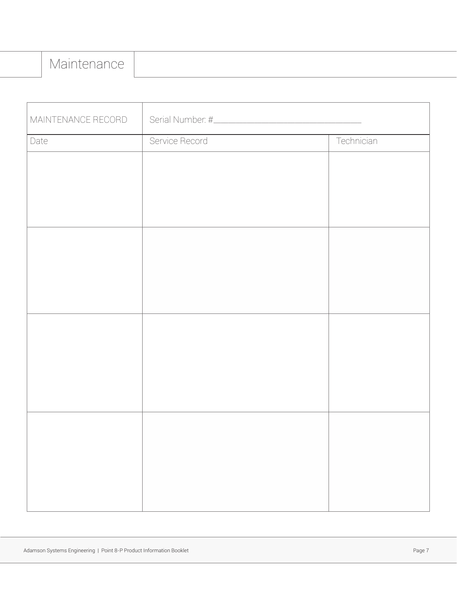| MAINTENANCE RECORD |                |            |  |
|--------------------|----------------|------------|--|
| Date               | Service Record | Technician |  |
|                    |                |            |  |
|                    |                |            |  |
|                    |                |            |  |
|                    |                |            |  |
|                    |                |            |  |
|                    |                |            |  |
|                    |                |            |  |
|                    |                |            |  |
|                    |                |            |  |
|                    |                |            |  |
|                    |                |            |  |
|                    |                |            |  |
|                    |                |            |  |
|                    |                |            |  |
|                    |                |            |  |
|                    |                |            |  |
|                    |                |            |  |
|                    |                |            |  |
|                    |                |            |  |